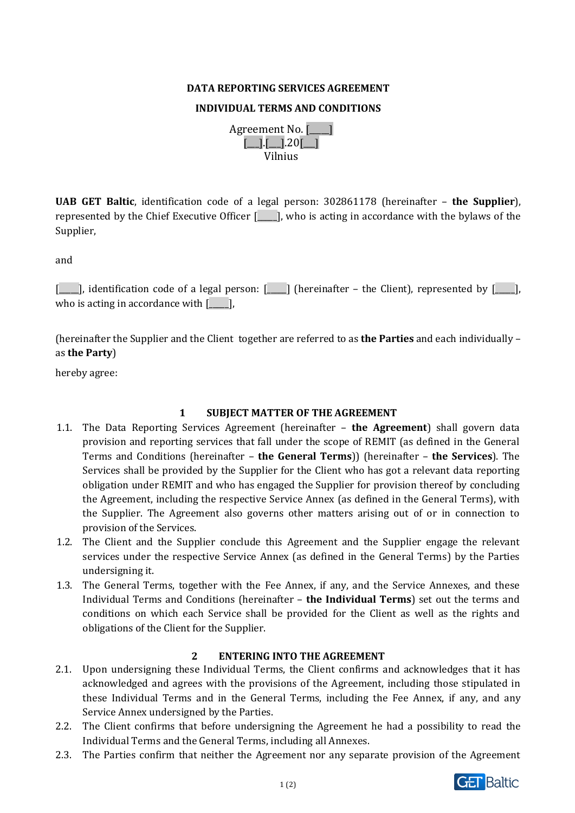#### **DATA REPORTING SERVICES AGREEMENT**

#### **INDIVIDUAL TERMS AND CONDITIONS**

| Agreement No. <u>[</u> |                                                 |  |  |  |  |  |
|------------------------|-------------------------------------------------|--|--|--|--|--|
|                        | $\boxed{\phantom{1}}$ .20 $\boxed{\phantom{1}}$ |  |  |  |  |  |
| Vilnius                |                                                 |  |  |  |  |  |

**UAB GET Baltic**, identification code of a legal person: 302861178 (hereinafter – **the Supplier**), represented by the Chief Executive Officer [\_\_\_\_\_], who is acting in accordance with the bylaws of the Supplier,

and

[\_\_\_\_], identification code of a legal person: [\_\_\_\_] (hereinafter – the Client), represented by [\_\_\_\_], who is acting in accordance with  $[\_\_$ 

(hereinafter the Supplier and the Client together are referred to as **the Parties** and each individually – as **the Party**)

hereby agree:

## **1 SUBJECT MATTER OF THE AGREEMENT**

- 1.1. The Data Reporting Services Agreement (hereinafter **the Agreement**) shall govern data provision and reporting services that fall under the scope of REMIT (as defined in the General Terms and Conditions (hereinafter – **the General Terms**)) (hereinafter – **the Services**). The Services shall be provided by the Supplier for the Client who has got a relevant data reporting obligation under REMIT and who has engaged the Supplier for provision thereof by concluding the Agreement, including the respective Service Annex (as defined in the General Terms), with the Supplier. The Agreement also governs other matters arising out of or in connection to provision of the Services.
- 1.2. The Client and the Supplier conclude this Agreement and the Supplier engage the relevant services under the respective Service Annex (as defined in the General Terms) by the Parties undersigning it.
- 1.3. The General Terms, together with the Fee Annex, if any, and the Service Annexes, and these Individual Terms and Conditions (hereinafter – **the Individual Terms**) set out the terms and conditions on which each Service shall be provided for the Client as well as the rights and obligations of the Client for the Supplier.

## **2 ENTERING INTO THE AGREEMENT**

- 2.1. Upon undersigning these Individual Terms, the Client confirms and acknowledges that it has acknowledged and agrees with the provisions of the Agreement, including those stipulated in these Individual Terms and in the General Terms, including the Fee Annex, if any, and any Service Annex undersigned by the Parties.
- 2.2. The Client confirms that before undersigning the Agreement he had a possibility to read the Individual Terms and the General Terms, including all Annexes.
- 2.3. The Parties confirm that neither the Agreement nor any separate provision of the Agreement